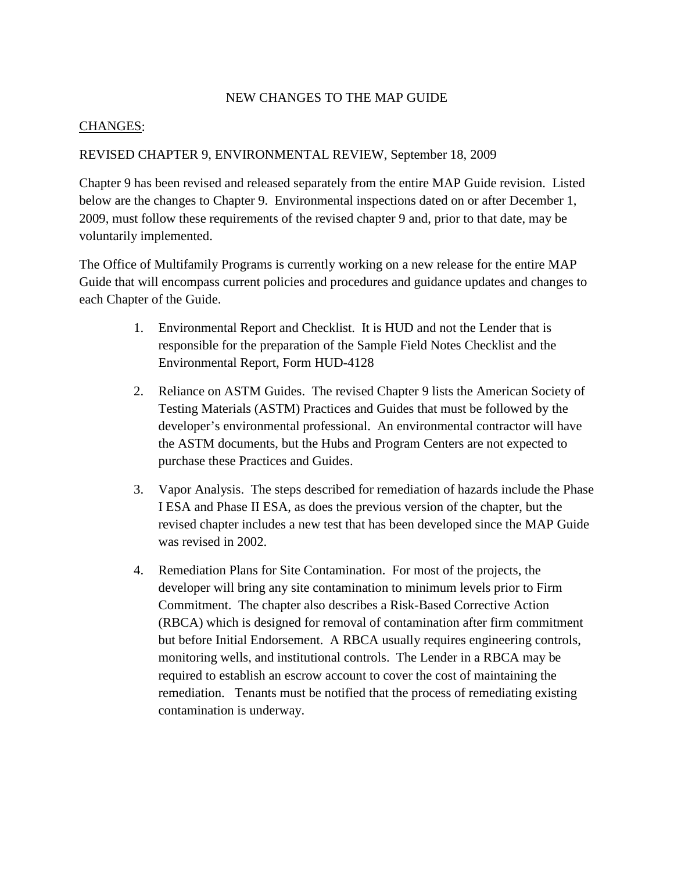## NEW CHANGES TO THE MAP GUIDE

## CHANGES :

## REVISED CHAPTER 9, ENVIRONMENTAL REVIEW, September 18, 2009

Chapter 9 has been revised and released separately from the entire MAP Guide revision. Listed below are the changes to Chapter 9. Environmental inspections dated on or after December 1, 2009, must follow these requirements of the revised chapter 9 and, prior to that date, may be voluntarily implemented.

The Office of Multifamily Programs is currently working on a new release for the entire MAP Guide that will encompass current policies and procedures and guidance updates and changes to each Chapter of the Guide.

- 1. Environmental Report and Checklist. It is HUD and not the Lender that is responsible for the preparation of the Sample Field Notes Checklist and the Environmental Report, Form HUD-4128
- 2. Reliance on ASTM Guides. The revised Chapter 9 lists the American Society of Testing Materials (ASTM) Practices and Guides that must be followed by the developer's environmental professional. An environmental contractor will have the ASTM documents, but the Hubs and Program Centers are not expected to purchase these Practices and Guides.
- 3. Vapor Analysis. The steps described for remediation of hazards include the Phase I ESA and Phase II ESA, as does the previous version of the chapter, but the revised chapter includes a new test that has been developed since the MAP Guide was revised in 2002.
- 4. Remediation Plans for Site Contamination. For most of the projects, the developer will bring any site contamination to minimum levels prior to Firm Commitment. The chapter also describes a Risk-Based Corrective Action (RBCA) which is designed for removal of contamination after firm commitment but before Initial Endorsement. A RBCA usually requires engineering controls, monitoring wells, and institutional controls. The Lender in a RBCA may be required to establish an escrow account to cover the cost of maintaining the remediation. Tenants must be notified that the process of remediating existing contamination is underway.